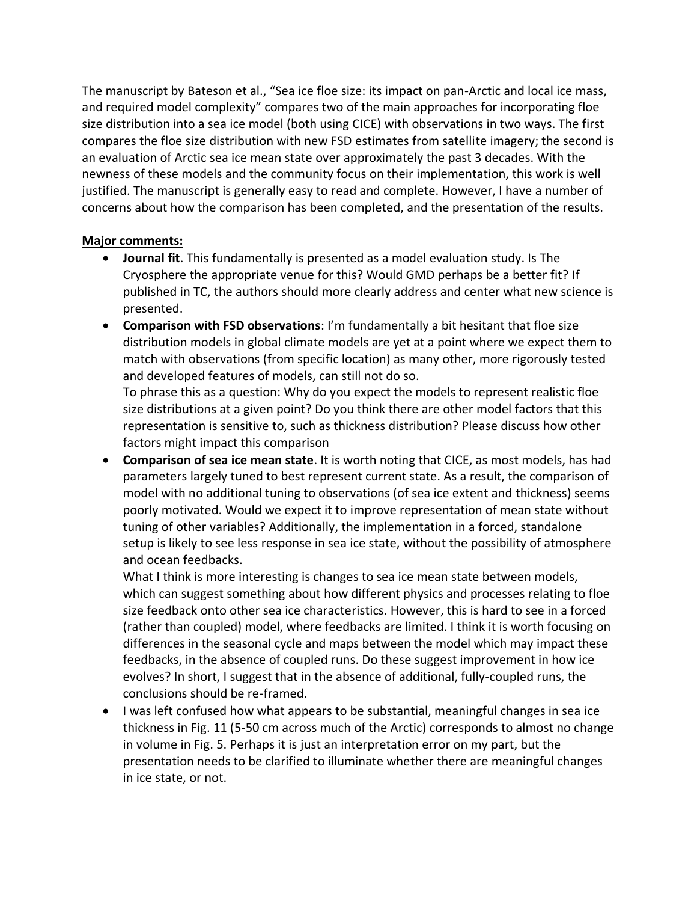The manuscript by Bateson et al., "Sea ice floe size: its impact on pan-Arctic and local ice mass, and required model complexity" compares two of the main approaches for incorporating floe size distribution into a sea ice model (both using CICE) with observations in two ways. The first compares the floe size distribution with new FSD estimates from satellite imagery; the second is an evaluation of Arctic sea ice mean state over approximately the past 3 decades. With the newness of these models and the community focus on their implementation, this work is well justified. The manuscript is generally easy to read and complete. However, I have a number of concerns about how the comparison has been completed, and the presentation of the results.

## **Major comments:**

- **Journal fit**. This fundamentally is presented as a model evaluation study. Is The Cryosphere the appropriate venue for this? Would GMD perhaps be a better fit? If published in TC, the authors should more clearly address and center what new science is presented.
- **Comparison with FSD observations**: I'm fundamentally a bit hesitant that floe size distribution models in global climate models are yet at a point where we expect them to match with observations (from specific location) as many other, more rigorously tested and developed features of models, can still not do so.

To phrase this as a question: Why do you expect the models to represent realistic floe size distributions at a given point? Do you think there are other model factors that this representation is sensitive to, such as thickness distribution? Please discuss how other factors might impact this comparison

• **Comparison of sea ice mean state**. It is worth noting that CICE, as most models, has had parameters largely tuned to best represent current state. As a result, the comparison of model with no additional tuning to observations (of sea ice extent and thickness) seems poorly motivated. Would we expect it to improve representation of mean state without tuning of other variables? Additionally, the implementation in a forced, standalone setup is likely to see less response in sea ice state, without the possibility of atmosphere and ocean feedbacks.

What I think is more interesting is changes to sea ice mean state between models, which can suggest something about how different physics and processes relating to floe size feedback onto other sea ice characteristics. However, this is hard to see in a forced (rather than coupled) model, where feedbacks are limited. I think it is worth focusing on differences in the seasonal cycle and maps between the model which may impact these feedbacks, in the absence of coupled runs. Do these suggest improvement in how ice evolves? In short, I suggest that in the absence of additional, fully-coupled runs, the conclusions should be re-framed.

• I was left confused how what appears to be substantial, meaningful changes in sea ice thickness in Fig. 11 (5-50 cm across much of the Arctic) corresponds to almost no change in volume in Fig. 5. Perhaps it is just an interpretation error on my part, but the presentation needs to be clarified to illuminate whether there are meaningful changes in ice state, or not.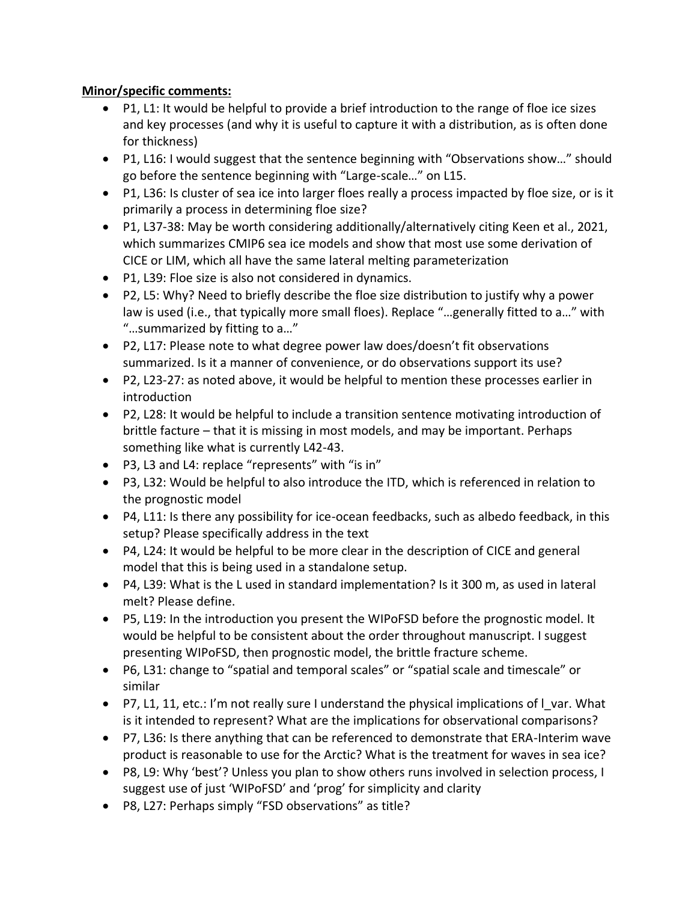## **Minor/specific comments:**

- P1, L1: It would be helpful to provide a brief introduction to the range of floe ice sizes and key processes (and why it is useful to capture it with a distribution, as is often done for thickness)
- P1, L16: I would suggest that the sentence beginning with "Observations show…" should go before the sentence beginning with "Large-scale…" on L15.
- P1, L36: Is cluster of sea ice into larger floes really a process impacted by floe size, or is it primarily a process in determining floe size?
- P1, L37-38: May be worth considering additionally/alternatively citing Keen et al., 2021, which summarizes CMIP6 sea ice models and show that most use some derivation of CICE or LIM, which all have the same lateral melting parameterization
- P1, L39: Floe size is also not considered in dynamics.
- P2, L5: Why? Need to briefly describe the floe size distribution to justify why a power law is used (i.e., that typically more small floes). Replace "…generally fitted to a…" with "…summarized by fitting to a…"
- P2, L17: Please note to what degree power law does/doesn't fit observations summarized. Is it a manner of convenience, or do observations support its use?
- P2, L23-27: as noted above, it would be helpful to mention these processes earlier in introduction
- P2, L28: It would be helpful to include a transition sentence motivating introduction of brittle facture – that it is missing in most models, and may be important. Perhaps something like what is currently L42-43.
- P3, L3 and L4: replace "represents" with "is in"
- P3, L32: Would be helpful to also introduce the ITD, which is referenced in relation to the prognostic model
- P4, L11: Is there any possibility for ice-ocean feedbacks, such as albedo feedback, in this setup? Please specifically address in the text
- P4, L24: It would be helpful to be more clear in the description of CICE and general model that this is being used in a standalone setup.
- P4, L39: What is the L used in standard implementation? Is it 300 m, as used in lateral melt? Please define.
- P5, L19: In the introduction you present the WIPoFSD before the prognostic model. It would be helpful to be consistent about the order throughout manuscript. I suggest presenting WIPoFSD, then prognostic model, the brittle fracture scheme.
- P6, L31: change to "spatial and temporal scales" or "spatial scale and timescale" or similar
- P7, L1, 11, etc.: I'm not really sure I understand the physical implications of I var. What is it intended to represent? What are the implications for observational comparisons?
- P7, L36: Is there anything that can be referenced to demonstrate that ERA-Interim wave product is reasonable to use for the Arctic? What is the treatment for waves in sea ice?
- P8, L9: Why 'best'? Unless you plan to show others runs involved in selection process, I suggest use of just 'WIPoFSD' and 'prog' for simplicity and clarity
- P8, L27: Perhaps simply "FSD observations" as title?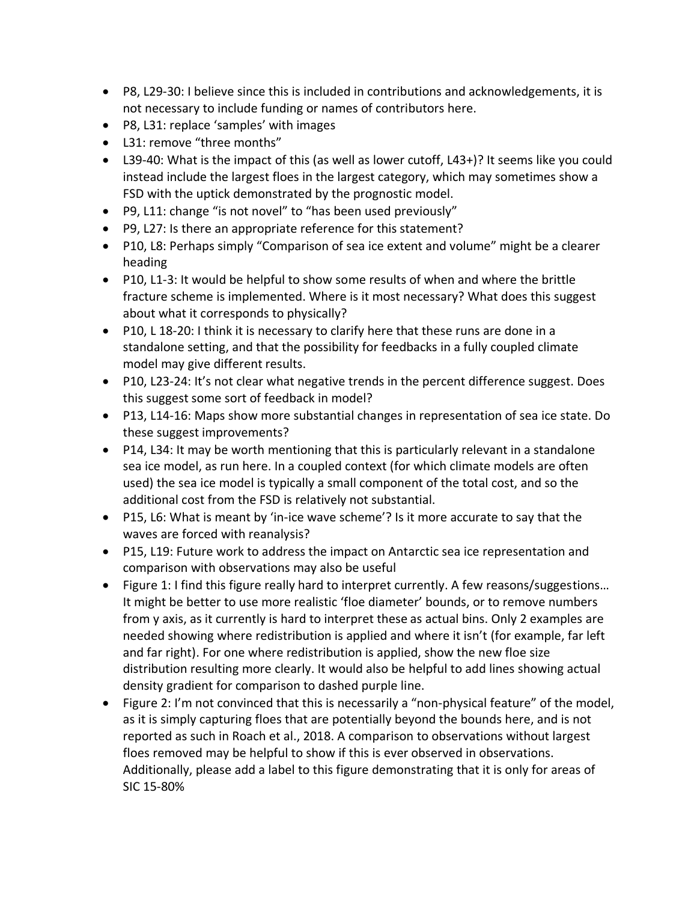- P8, L29-30: I believe since this is included in contributions and acknowledgements, it is not necessary to include funding or names of contributors here.
- P8, L31: replace 'samples' with images
- L31: remove "three months"
- L39-40: What is the impact of this (as well as lower cutoff, L43+)? It seems like you could instead include the largest floes in the largest category, which may sometimes show a FSD with the uptick demonstrated by the prognostic model.
- P9, L11: change "is not novel" to "has been used previously"
- P9, L27: Is there an appropriate reference for this statement?
- P10, L8: Perhaps simply "Comparison of sea ice extent and volume" might be a clearer heading
- P10, L1-3: It would be helpful to show some results of when and where the brittle fracture scheme is implemented. Where is it most necessary? What does this suggest about what it corresponds to physically?
- P10, L 18-20: I think it is necessary to clarify here that these runs are done in a standalone setting, and that the possibility for feedbacks in a fully coupled climate model may give different results.
- P10, L23-24: It's not clear what negative trends in the percent difference suggest. Does this suggest some sort of feedback in model?
- P13, L14-16: Maps show more substantial changes in representation of sea ice state. Do these suggest improvements?
- P14, L34: It may be worth mentioning that this is particularly relevant in a standalone sea ice model, as run here. In a coupled context (for which climate models are often used) the sea ice model is typically a small component of the total cost, and so the additional cost from the FSD is relatively not substantial.
- P15, L6: What is meant by 'in-ice wave scheme'? Is it more accurate to say that the waves are forced with reanalysis?
- P15, L19: Future work to address the impact on Antarctic sea ice representation and comparison with observations may also be useful
- Figure 1: I find this figure really hard to interpret currently. A few reasons/suggestions... It might be better to use more realistic 'floe diameter' bounds, or to remove numbers from y axis, as it currently is hard to interpret these as actual bins. Only 2 examples are needed showing where redistribution is applied and where it isn't (for example, far left and far right). For one where redistribution is applied, show the new floe size distribution resulting more clearly. It would also be helpful to add lines showing actual density gradient for comparison to dashed purple line.
- Figure 2: I'm not convinced that this is necessarily a "non-physical feature" of the model, as it is simply capturing floes that are potentially beyond the bounds here, and is not reported as such in Roach et al., 2018. A comparison to observations without largest floes removed may be helpful to show if this is ever observed in observations. Additionally, please add a label to this figure demonstrating that it is only for areas of SIC 15-80%